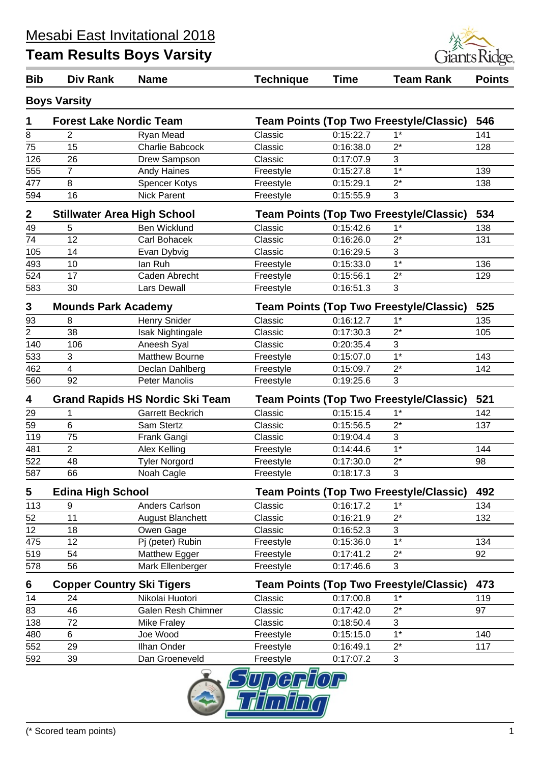

| <b>Bib</b>     | Div Rank                           | <b>Name</b>                            | <b>Technique</b> | <b>Time</b> | <b>Team Rank</b>                               | <b>Points</b> |
|----------------|------------------------------------|----------------------------------------|------------------|-------------|------------------------------------------------|---------------|
|                | <b>Boys Varsity</b>                |                                        |                  |             |                                                |               |
| 1              | <b>Forest Lake Nordic Team</b>     |                                        |                  |             | <b>Team Points (Top Two Freestyle/Classic)</b> | 546           |
| 8              | $\overline{2}$                     | Ryan Mead                              | Classic          | 0:15:22.7   | $1*$                                           | 141           |
| 75             | 15                                 | Charlie Babcock                        | Classic          | 0:16:38.0   | $2^*$                                          | 128           |
| 126            | 26                                 | Drew Sampson                           | Classic          | 0:17:07.9   | 3                                              |               |
| 555            | $\overline{7}$                     | <b>Andy Haines</b>                     | Freestyle        | 0:15:27.8   | $1*$                                           | 139           |
| 477            | 8                                  | <b>Spencer Kotys</b>                   | Freestyle        | 0:15:29.1   | $2^*$                                          | 138           |
| 594            | 16                                 | <b>Nick Parent</b>                     | Freestyle        | 0:15:55.9   | 3                                              |               |
| $\mathbf 2$    | <b>Stillwater Area High School</b> |                                        |                  |             | <b>Team Points (Top Two Freestyle/Classic)</b> | 534           |
| 49             | 5                                  | <b>Ben Wicklund</b>                    | Classic          | 0:15:42.6   | $1*$                                           | 138           |
| 74             | 12                                 | Carl Bohacek                           | Classic          | 0:16:26.0   | $2^*$                                          | 131           |
| 105            | 14                                 | Evan Dybvig                            | Classic          | 0:16:29.5   | 3                                              |               |
| 493            | 10                                 | lan Ruh                                | Freestyle        | 0:15:33.0   | $1*$                                           | 136           |
| 524            | 17                                 | Caden Abrecht                          | Freestyle        | 0:15:56.1   | $2^*$                                          | 129           |
| 583            | 30                                 | <b>Lars Dewall</b>                     | Freestyle        | 0:16:51.3   | 3                                              |               |
| 3              | <b>Mounds Park Academy</b>         |                                        |                  |             | <b>Team Points (Top Two Freestyle/Classic)</b> | 525           |
| 93             | 8                                  | <b>Henry Snider</b>                    | Classic          | 0:16:12.7   | $1*$                                           | 135           |
| $\overline{2}$ | 38                                 | Isak Nightingale                       | Classic          | 0:17:30.3   | $2^*$                                          | 105           |
| 140            | 106                                | Aneesh Syal                            | Classic          | 0:20:35.4   | 3                                              |               |
| 533            | 3                                  | <b>Matthew Bourne</b>                  | Freestyle        | 0:15:07.0   | $1*$                                           | 143           |
| 462            | $\overline{4}$                     | Declan Dahlberg                        | Freestyle        | 0:15:09.7   | $2^*$                                          | 142           |
| 560            | 92                                 | <b>Peter Manolis</b>                   | Freestyle        | 0:19:25.6   | 3                                              |               |
| 4              |                                    | <b>Grand Rapids HS Nordic Ski Team</b> |                  |             | <b>Team Points (Top Two Freestyle/Classic)</b> | 521           |
| 29             | 1                                  | <b>Garrett Beckrich</b>                | Classic          | 0:15:15.4   | $1*$                                           | 142           |
| 59             | $6\phantom{1}$                     | Sam Stertz                             | Classic          | 0:15:56.5   | $2^*$                                          | 137           |
| 119            | 75                                 | Frank Gangi                            | Classic          | 0:19:04.4   | 3                                              |               |
| 481            | $\overline{2}$                     | Alex Kelling                           | Freestyle        | 0:14:44.6   | $1*$                                           | 144           |
| 522            | 48                                 | <b>Tyler Norgord</b>                   | Freestyle        | 0:17:30.0   | $2^*$                                          | 98            |
| 587            | 66                                 | Noah Cagle                             | Freestyle        | 0:18:17.3   | 3                                              |               |
| 5              | <b>Edina High School</b>           |                                        |                  |             | <b>Team Points (Top Two Freestyle/Classic)</b> | 492           |
| 113            | 9                                  | Anders Carlson                         | Classic          | 0:16:17.2   | $1*$                                           | 134           |
| 52             | 11                                 | <b>August Blanchett</b>                | Classic          | 0:16:21.9   | $2^*$                                          | 132           |
| 12             | 18                                 | Owen Gage                              | Classic          | 0:16:52.3   | 3                                              |               |
| 475            | 12                                 | Pj (peter) Rubin                       | Freestyle        | 0:15:36.0   | $1*$                                           | 134           |
| 519            | 54                                 | Matthew Egger                          | Freestyle        | 0:17:41.2   | $2^*$                                          | 92            |
| 578            | 56                                 | Mark Ellenberger                       | Freestyle        | 0:17:46.6   | 3                                              |               |
| 6              | <b>Copper Country Ski Tigers</b>   |                                        |                  |             | <b>Team Points (Top Two Freestyle/Classic)</b> | 473           |
| 14             | 24                                 | Nikolai Huotori                        | Classic          | 0:17:00.8   | $1*$                                           | 119           |
| 83             | 46                                 | Galen Resh Chimner                     | Classic          | 0:17:42.0   | $2^*$                                          | 97            |
| 138            | 72                                 | <b>Mike Fraley</b>                     | Classic          | 0:18:50.4   | 3                                              |               |
| 480            | 6                                  | Joe Wood                               | Freestyle        | 0:15:15.0   | $1*$                                           | 140           |
| 552            | 29                                 | Ilhan Onder                            | Freestyle        | 0:16:49.1   | $2^*$                                          | 117           |
| 592            | 39                                 | Dan Groeneveld                         | Freestyle        | 0:17:07.2   | 3                                              |               |
|                |                                    |                                        | $\Box$           |             |                                                |               |

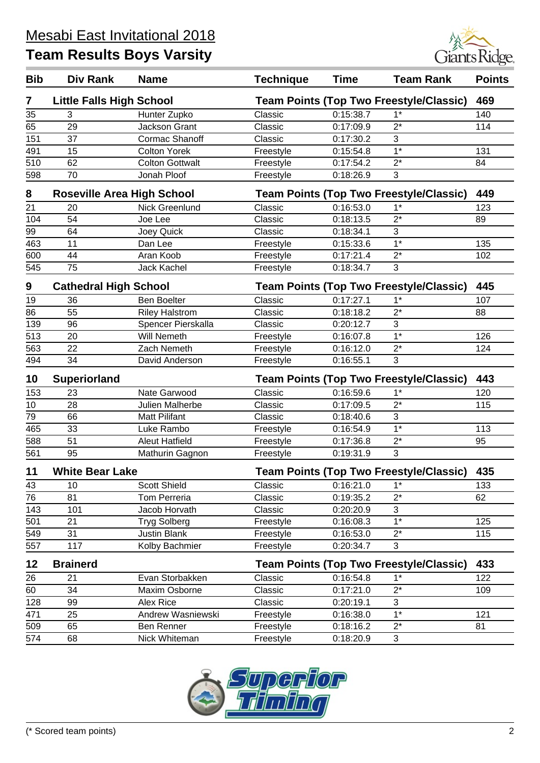

| <b>Bib</b> | <b>Div Rank</b>                   | <b>Name</b>            | <b>Technique</b>                               | <b>Time</b> | <b>Team Rank</b>                               | <b>Points</b> |
|------------|-----------------------------------|------------------------|------------------------------------------------|-------------|------------------------------------------------|---------------|
| 7          | <b>Little Falls High School</b>   |                        |                                                |             | <b>Team Points (Top Two Freestyle/Classic)</b> | 469           |
| 35         | 3                                 | Hunter Zupko           | Classic                                        | 0:15:38.7   | $1*$                                           | 140           |
| 65         | 29                                | <b>Jackson Grant</b>   | Classic                                        | 0:17:09.9   | $2^*$                                          | 114           |
| 151        | 37                                | Cormac Shanoff         | Classic                                        | 0:17:30.2   | 3                                              |               |
| 491        | 15                                | <b>Colton Yorek</b>    | Freestyle                                      | 0:15:54.8   | $1*$                                           | 131           |
| 510        | 62                                | <b>Colton Gottwalt</b> | Freestyle                                      | 0:17:54.2   | $2^*$                                          | 84            |
| 598        | 70                                | Jonah Ploof            | Freestyle                                      | 0:18:26.9   | $\mathbf{3}$                                   |               |
| 8          | <b>Roseville Area High School</b> |                        |                                                |             | <b>Team Points (Top Two Freestyle/Classic)</b> | 449           |
| 21         | 20                                | Nick Greenlund         | Classic                                        | 0:16:53.0   | $1*$                                           | 123           |
| 104        | 54                                | Joe Lee                | Classic                                        | 0:18:13.5   | $2^*$                                          | 89            |
| 99         | 64                                | Joey Quick             | Classic                                        | 0:18:34.1   | 3                                              |               |
| 463        | 11                                | Dan Lee                | Freestyle                                      | 0:15:33.6   | $1*$                                           | 135           |
| 600        | 44                                | Aran Koob              | Freestyle                                      | 0:17:21.4   | $2^*$                                          | 102           |
| 545        | 75                                | Jack Kachel            | Freestyle                                      | 0:18:34.7   | 3                                              |               |
| 9          | <b>Cathedral High School</b>      |                        |                                                |             | <b>Team Points (Top Two Freestyle/Classic)</b> | 445           |
| 19         | 36                                | <b>Ben Boelter</b>     | Classic                                        | 0:17:27.1   | $1*$                                           | 107           |
| 86         | 55                                | <b>Riley Halstrom</b>  | Classic                                        | 0:18:18.2   | $\overline{2^*}$                               | 88            |
| 139        | 96                                | Spencer Pierskalla     | Classic                                        | 0:20:12.7   | 3                                              |               |
| 513        | 20                                | <b>Will Nemeth</b>     | Freestyle                                      | 0:16:07.8   | $1*$                                           | 126           |
| 563        | 22                                | Zach Nemeth            | Freestyle                                      | 0:16:12.0   | $2^*$                                          | 124           |
| 494        | 34                                | David Anderson         | Freestyle                                      | 0:16:55.1   | 3                                              |               |
| 10         | <b>Superiorland</b>               |                        |                                                |             | <b>Team Points (Top Two Freestyle/Classic)</b> | 443           |
| 153        | 23                                | Nate Garwood           | Classic                                        | 0:16:59.6   | $1*$                                           | 120           |
| 10         | 28                                | Julien Malherbe        | Classic                                        | 0:17:09.5   | $2^*$                                          | 115           |
| 79         | 66                                | <b>Matt Pilifant</b>   | Classic                                        | 0:18:40.6   | 3                                              |               |
| 465        | 33                                | Luke Rambo             | Freestyle                                      | 0:16:54.9   | $\overline{1^*}$                               | 113           |
| 588        | 51                                | <b>Aleut Hatfield</b>  | Freestyle                                      | 0:17:36.8   | $2^*$                                          | 95            |
| 561        | 95                                | Mathurin Gagnon        | Freestyle                                      | 0:19:31.9   | 3                                              |               |
| 11         | <b>White Bear Lake</b>            |                        | <b>Team Points (Top Two Freestyle/Classic)</b> |             |                                                | 435           |
| 43         | 10                                | <b>Scott Shield</b>    | Classic                                        | 0:16:21.0   | $1^*$                                          | 133           |
| 76         | 81                                | <b>Tom Perreria</b>    | Classic                                        | 0:19:35.2   | $2^*$                                          | 62            |
| 143        | 101                               | Jacob Horvath          | Classic                                        | 0:20:20.9   | 3                                              |               |
| 501        | 21                                | <b>Tryg Solberg</b>    | Freestyle                                      | 0:16:08.3   | $1*$                                           | 125           |
| 549        | 31                                | Justin Blank           | Freestyle                                      | 0:16:53.0   | $2^*$                                          | 115           |
| 557        | 117                               | Kolby Bachmier         | Freestyle                                      | 0:20:34.7   | 3                                              |               |
| 12         | <b>Brainerd</b>                   |                        |                                                |             | <b>Team Points (Top Two Freestyle/Classic)</b> | 433           |
| 26         | 21                                | Evan Storbakken        | Classic                                        | 0:16:54.8   | $1*$                                           | 122           |
| 60         | 34                                | Maxim Osborne          | Classic                                        | 0:17:21.0   | $2^*$                                          | 109           |
| 128        | 99                                | Alex Rice              | Classic                                        | 0:20:19.1   | 3                                              |               |
| 471        | 25                                | Andrew Wasniewski      | Freestyle                                      | 0:16:38.0   | $1*$                                           | 121           |
| 509        | 65                                | Ben Renner             | Freestyle                                      | 0:18:16.2   | $2^*$                                          | 81            |
| 574        | 68                                | Nick Whiteman          | Freestyle                                      | 0:18:20.9   | $\mathbf{3}$                                   |               |

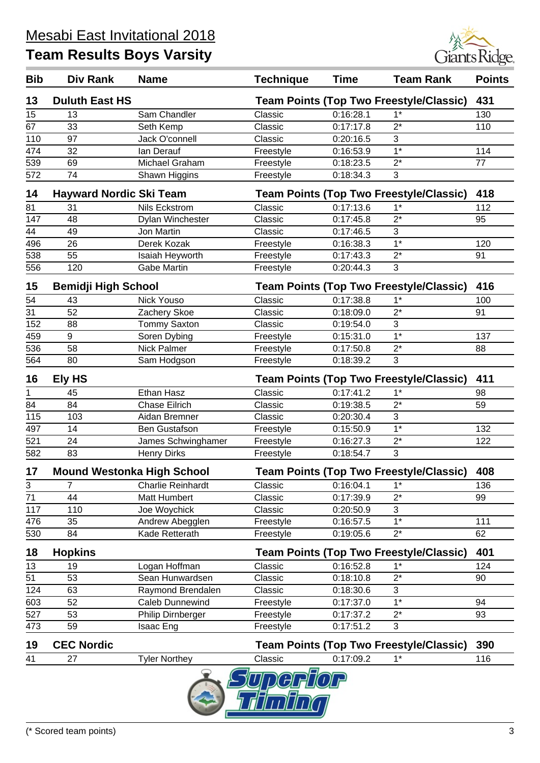

| <b>Bib</b>      | Div Rank                          | <b>Name</b>          | <b>Technique</b> | <b>Time</b> | <b>Team Rank</b>                               | <b>Points</b> |
|-----------------|-----------------------------------|----------------------|------------------|-------------|------------------------------------------------|---------------|
| 13              | <b>Duluth East HS</b>             |                      |                  |             | <b>Team Points (Top Two Freestyle/Classic)</b> | 431           |
| 15              | 13                                | Sam Chandler         | Classic          | 0:16:28.1   | $1*$                                           | 130           |
| 67              | 33                                | Seth Kemp            | Classic          | 0:17:17.8   | $2^*$                                          | 110           |
| 110             | 97                                | Jack O'connell       | Classic          | 0:20:16.5   | 3                                              |               |
| 474             | 32                                | lan Derauf           | Freestyle        | 0:16:53.9   | $1*$                                           | 114           |
| 539             | 69                                | Michael Graham       | Freestyle        | 0:18:23.5   | $2^*$                                          | 77            |
| 572             | 74                                | Shawn Higgins        | Freestyle        | 0:18:34.3   | 3                                              |               |
| 14              | <b>Hayward Nordic Ski Team</b>    |                      |                  |             | <b>Team Points (Top Two Freestyle/Classic)</b> | 418           |
| 81              | 31                                | Nils Eckstrom        | Classic          | 0:17:13.6   | $1*$                                           | 112           |
| 147             | 48                                | Dylan Winchester     | Classic          | 0:17:45.8   | $2^*$                                          | 95            |
| 44              | 49                                | Jon Martin           | Classic          | 0:17:46.5   | 3                                              |               |
| 496             | 26                                | Derek Kozak          | Freestyle        | 0:16:38.3   | $1*$                                           | 120           |
| 538             | 55                                | Isaiah Heyworth      | Freestyle        | 0:17:43.3   | $2^*$                                          | 91            |
| 556             | 120                               | <b>Gabe Martin</b>   | Freestyle        | 0:20:44.3   | 3                                              |               |
| 15              | <b>Bemidji High School</b>        |                      |                  |             | <b>Team Points (Top Two Freestyle/Classic)</b> | 416           |
| 54              | 43                                | Nick Youso           | Classic          | 0:17:38.8   | $1*$                                           | 100           |
| 31              | 52                                | Zachery Skoe         | Classic          | 0:18:09.0   | $2^*$                                          | 91            |
| 152             | 88                                | <b>Tommy Saxton</b>  | Classic          | 0:19:54.0   | 3                                              |               |
| 459             | 9                                 | Soren Dybing         | Freestyle        | 0:15:31.0   | $\overline{1^*}$                               | 137           |
| 536             | 58                                | <b>Nick Palmer</b>   | Freestyle        | 0:17:50.8   | $2^*$                                          | 88            |
| 564             | 80                                | Sam Hodgson          | Freestyle        | 0:18:39.2   | 3                                              |               |
| 16              | Ely HS                            |                      |                  |             | <b>Team Points (Top Two Freestyle/Classic)</b> | 411           |
| 1               | 45                                | Ethan Hasz           | Classic          | 0:17:41.2   | $1*$                                           | 98            |
| 84              | 84                                | <b>Chase Eilrich</b> | Classic          | 0:19:38.5   | $2^*$                                          | 59            |
| 115             | 103                               | Aidan Bremner        | Classic          | 0:20:30.4   | 3                                              |               |
| 497             | 14                                | <b>Ben Gustafson</b> | Freestyle        | 0:15:50.9   | $1*$                                           | 132           |
| 521             | 24                                | James Schwinghamer   | Freestyle        | 0:16:27.3   | $2^*$                                          | 122           |
| 582             | 83                                | <b>Henry Dirks</b>   | Freestyle        | 0:18:54.7   | 3                                              |               |
| 17              | <b>Mound Westonka High School</b> |                      |                  |             | <b>Team Points (Top Two Freestyle/Classic)</b> | 408           |
| 3               | 7                                 | Charlie Reinhardt    | Classic          | 0:16:04.1   | $1*$                                           | 136           |
| 71              | 44                                | Matt Humbert         | Classic          | 0:17:39.9   | $2^*$                                          | 99            |
| 117             | 110                               | Joe Woychick         | Classic          | 0:20:50.9   | 3                                              |               |
| 476             | 35                                | Andrew Abegglen      | Freestyle        | 0:16:57.5   | $1*$                                           | 111           |
| 530             | 84                                | Kade Retterath       | Freestyle        | 0:19:05.6   | $2^*$                                          | 62            |
| 18              | <b>Hopkins</b>                    |                      |                  |             | <b>Team Points (Top Two Freestyle/Classic)</b> | 401           |
| 13              | 19                                | Logan Hoffman        | Classic          | 0:16:52.8   | $1*$                                           | 124           |
| $\overline{51}$ | 53                                | Sean Hunwardsen      | Classic          | 0:18:10.8   | $\overline{2^*}$                               | 90            |
| 124             | 63                                | Raymond Brendalen    | Classic          | 0:18:30.6   | 3                                              |               |
| 603             | 52                                | Caleb Dunnewind      | Freestyle        | 0:17:37.0   | $1*$                                           | 94            |
| 527             | 53                                | Philip Dirnberger    | Freestyle        | 0:17:37.2   | $2^*$                                          | 93            |
| 473             | 59                                | Isaac Eng            | Freestyle        | 0:17:51.2   | 3                                              |               |
| 19              | <b>CEC Nordic</b>                 |                      |                  |             | <b>Team Points (Top Two Freestyle/Classic)</b> | 390           |
| 41              | 27                                | <b>Tyler Northey</b> | Classic          | 0:17:09.2   | $1*$                                           | 116           |
|                 |                                   |                      |                  |             |                                                |               |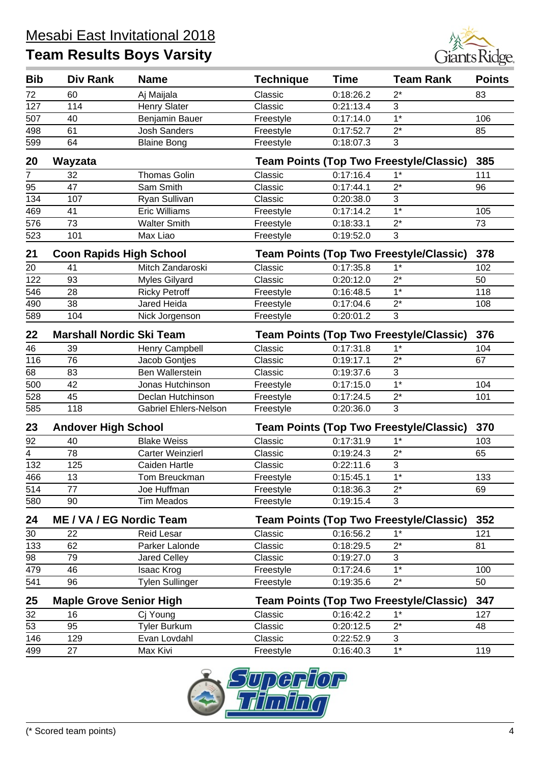

| <b>Bib</b>     | Div Rank                        | <b>Name</b>                  | <b>Technique</b> | <b>Time</b> | <b>Team Rank</b>                               | <b>Points</b> |
|----------------|---------------------------------|------------------------------|------------------|-------------|------------------------------------------------|---------------|
| 72             | 60                              | Aj Maijala                   | Classic          | 0:18:26.2   | $2^*$                                          | 83            |
| 127            | 114                             | <b>Henry Slater</b>          | Classic          | 0:21:13.4   | 3                                              |               |
| 507            | 40                              | Benjamin Bauer               | Freestyle        | 0:17:14.0   | $1*$                                           | 106           |
| 498            | 61                              | <b>Josh Sanders</b>          | Freestyle        | 0:17:52.7   | $2^*$                                          | 85            |
| 599            | 64                              | <b>Blaine Bong</b>           | Freestyle        | 0:18:07.3   | 3                                              |               |
| 20             | Wayzata                         |                              |                  |             | <b>Team Points (Top Two Freestyle/Classic)</b> | 385           |
| 7              | 32                              | <b>Thomas Golin</b>          | Classic          | 0:17:16.4   | $1^*$                                          | 111           |
| 95             | 47                              | Sam Smith                    | Classic          | 0:17:44.1   | $2^*$                                          | 96            |
| 134            | 107                             | Ryan Sullivan                | Classic          | 0:20:38.0   | 3                                              |               |
| 469            | 41                              | <b>Eric Williams</b>         | Freestyle        | 0:17:14.2   | $\overline{1^*}$                               | 105           |
| 576            | 73                              | <b>Walter Smith</b>          | Freestyle        | 0:18:33.1   | $2^*$                                          | 73            |
| 523            | 101                             | Max Liao                     | Freestyle        | 0:19:52.0   | 3                                              |               |
| 21             | <b>Coon Rapids High School</b>  |                              |                  |             | <b>Team Points (Top Two Freestyle/Classic)</b> | 378           |
| 20             | 41                              | Mitch Zandaroski             | Classic          | 0:17:35.8   | $1*$                                           | 102           |
| 122            | 93                              | Myles Gilyard                | Classic          | 0:20:12.0   | $2^*$                                          | 50            |
| 546            | 28                              | <b>Ricky Petroff</b>         | Freestyle        | 0:16:48.5   | $1*$                                           | 118           |
| 490            | 38                              | Jared Heida                  | Freestyle        | 0:17:04.6   | $2^*$                                          | 108           |
| 589            | 104                             | Nick Jorgenson               | Freestyle        | 0:20:01.2   | $\mathbf{3}$                                   |               |
| 22             | <b>Marshall Nordic Ski Team</b> |                              |                  |             | <b>Team Points (Top Two Freestyle/Classic)</b> | 376           |
| 46             | 39                              | Henry Campbell               | Classic          | 0:17:31.8   | $1*$                                           | 104           |
| 116            | 76                              | Jacob Gontjes                | Classic          | 0:19:17.1   | $2^*$                                          | 67            |
| 68             | 83                              | Ben Wallerstein              | Classic          | 0:19:37.6   | 3                                              |               |
| 500            | 42                              | Jonas Hutchinson             | Freestyle        | 0:17:15.0   | $\overline{1^*}$                               | 104           |
| 528            | 45                              | Declan Hutchinson            | Freestyle        | 0:17:24.5   | $2^*$                                          | 101           |
| 585            | 118                             | <b>Gabriel Ehlers-Nelson</b> | Freestyle        | 0:20:36.0   | 3                                              |               |
| 23             | <b>Andover High School</b>      |                              |                  |             | <b>Team Points (Top Two Freestyle/Classic)</b> | 370           |
| 92             | 40                              | <b>Blake Weiss</b>           | Classic          | 0:17:31.9   | $1*$                                           | 103           |
| $\overline{4}$ | 78                              | Carter Weinzierl             | Classic          | 0:19:24.3   | $2^*$                                          | 65            |
| 132            | 125                             | Caiden Hartle                | Classic          | 0:22:11.6   | 3                                              |               |
| 466            | 13                              | Tom Breuckman                | Freestyle        | 0:15:45.1   | $1^*$                                          | 133           |
| 514            | 77                              | Joe Huffman                  | Freestyle        | 0:18:36.3   | $2^*$                                          | 69            |
| 580            | 90                              | <b>Tim Meados</b>            | Freestyle        | 0:19:15.4   | 3                                              |               |
| 24             | <b>ME / VA / EG Nordic Team</b> |                              |                  |             | <b>Team Points (Top Two Freestyle/Classic)</b> | 352           |
| 30             | 22                              | <b>Reid Lesar</b>            | Classic          | 0:16:56.2   | $1*$                                           | 121           |
| 133            | 62                              | Parker Lalonde               | Classic          | 0:18:29.5   | $2^*$                                          | 81            |
| 98             | 79                              | Jared Celley                 | Classic          | 0:19:27.0   | $\sqrt{3}$                                     |               |
| 479            | 46                              | Isaac Krog                   | Freestyle        | 0:17:24.6   | $\overline{1^*}$                               | 100           |
| 541            | 96                              | <b>Tylen Sullinger</b>       | Freestyle        | 0:19:35.6   | $2^*$                                          | 50            |
| 25             | <b>Maple Grove Senior High</b>  |                              |                  |             | <b>Team Points (Top Two Freestyle/Classic)</b> | 347           |
| 32             | 16                              | Cj Young                     | Classic          | 0:16:42.2   | $1*$                                           | 127           |
| 53             | 95                              | <b>Tyler Burkum</b>          | Classic          | 0:20:12.5   | $2^*$                                          | 48            |
| 146            | 129                             | Evan Lovdahl                 | Classic          | 0:22:52.9   | 3                                              |               |
| 499            | 27                              | Max Kivi                     | Freestyle        | 0:16:40.3   | $1*$                                           | 119           |
|                |                                 |                              |                  |             |                                                |               |

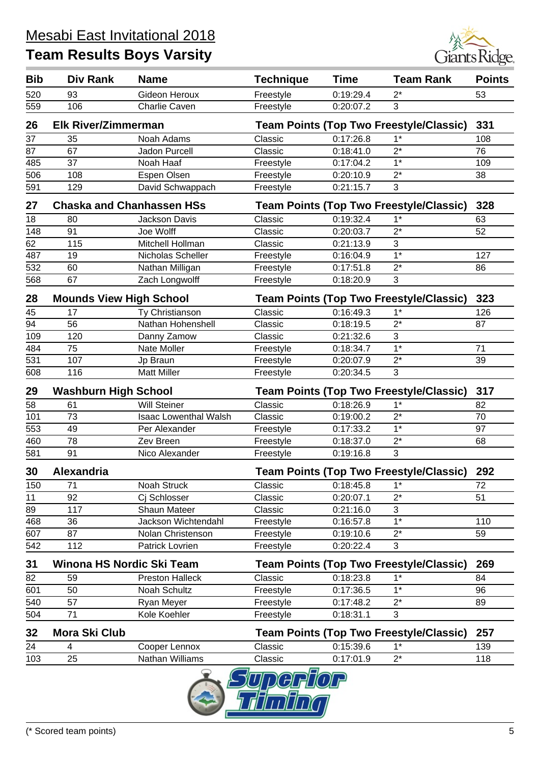

| <b>Bib</b> | Div Rank                         | <b>Name</b>                  | <b>Technique</b> | <b>Time</b> | <b>Team Rank</b>                               | <b>Points</b> |
|------------|----------------------------------|------------------------------|------------------|-------------|------------------------------------------------|---------------|
| 520        | 93                               | Gideon Heroux                | Freestyle        | 0:19:29.4   | $2^*$                                          | 53            |
| 559        | 106                              | Charlie Caven                | Freestyle        | 0:20:07.2   | 3                                              |               |
| 26         | <b>Elk River/Zimmerman</b>       |                              |                  |             | <b>Team Points (Top Two Freestyle/Classic)</b> | 331           |
| 37         | 35                               | Noah Adams                   | Classic          | 0:17:26.8   | $1*$                                           | 108           |
| 87         | 67                               | Jadon Purcell                | Classic          | 0:18:41.0   | $2^*$                                          | 76            |
| 485        | 37                               | Noah Haaf                    | Freestyle        | 0:17:04.2   | $1*$                                           | 109           |
| 506        | 108                              | Espen Olsen                  | Freestyle        | 0:20:10.9   | $2^*$                                          | 38            |
| 591        | 129                              | David Schwappach             | Freestyle        | 0:21:15.7   | 3                                              |               |
| 27         | <b>Chaska and Chanhassen HSs</b> |                              |                  |             | <b>Team Points (Top Two Freestyle/Classic)</b> | 328           |
| 18         | 80                               | Jackson Davis                | Classic          | 0:19:32.4   | $1*$                                           | 63            |
| 148        | 91                               | Joe Wolff                    | Classic          | 0:20:03.7   | $2^*$                                          | 52            |
| 62         | 115                              | Mitchell Hollman             | Classic          | 0:21:13.9   | 3                                              |               |
| 487        | 19                               | Nicholas Scheller            | Freestyle        | 0:16:04.9   | $\overline{1^*}$                               | 127           |
| 532        | 60                               | Nathan Milligan              | Freestyle        | 0:17:51.8   | $2^*$                                          | 86            |
| 568        | 67                               | Zach Longwolff               | Freestyle        | 0:18:20.9   | 3                                              |               |
| 28         | <b>Mounds View High School</b>   |                              |                  |             | <b>Team Points (Top Two Freestyle/Classic)</b> | 323           |
| 45         | 17                               | Ty Christianson              | Classic          | 0:16:49.3   | $1*$                                           | 126           |
| 94         | 56                               | Nathan Hohenshell            | Classic          | 0:18:19.5   | $2^*$                                          | 87            |
| 109        | 120                              | Danny Zamow                  | Classic          | 0:21:32.6   | 3                                              |               |
| 484        | 75                               | Nate Moller                  | Freestyle        | 0:18:34.7   | $1*$                                           | 71            |
| 531        | 107                              | Jp Braun                     | Freestyle        | 0:20:07.9   | $2^*$                                          | 39            |
| 608        | 116                              | <b>Matt Miller</b>           | Freestyle        | 0:20:34.5   | 3                                              |               |
| 29         | <b>Washburn High School</b>      |                              |                  |             | <b>Team Points (Top Two Freestyle/Classic)</b> | 317           |
| 58         | 61                               | <b>Will Steiner</b>          | Classic          | 0:18:26.9   | $1*$                                           | 82            |
| 101        | 73                               | <b>Isaac Lowenthal Walsh</b> | Classic          | 0:19:00.2   | $2^*$                                          | 70            |
| 553        | 49                               | Per Alexander                | Freestyle        | 0:17:33.2   | $1*$                                           | 97            |
| 460        | 78                               | Zev Breen                    | Freestyle        | 0:18:37.0   | $2^*$                                          | 68            |
| 581        | 91                               | Nico Alexander               | Freestyle        | 0:19:16.8   | 3                                              |               |
| 30         | Alexandria                       |                              |                  |             | <b>Team Points (Top Two Freestyle/Classic)</b> | 292           |
| 150        | 71                               | Noah Struck                  | Classic          | 0:18:45.8   | $1*$                                           | 72            |
| 11         | 92                               | Cj Schlosser                 | Classic          | 0:20:07.1   | $2^*$                                          | 51            |
| 89         | 117                              | <b>Shaun Mateer</b>          | Classic          | 0:21:16.0   | 3                                              |               |
| 468        | 36                               | Jackson Wichtendahl          | Freestyle        | 0:16:57.8   | $1*$                                           | 110           |
| 607        | 87                               | Nolan Christenson            | Freestyle        | 0:19:10.6   | $2^*$                                          | 59            |
| 542        | 112                              | Patrick Lovrien              | Freestyle        | 0:20:22.4   | 3                                              |               |
| 31         | Winona HS Nordic Ski Team        |                              |                  |             | <b>Team Points (Top Two Freestyle/Classic)</b> | 269           |
| 82         | 59                               | <b>Preston Halleck</b>       | Classic          | 0:18:23.8   | $1^*$                                          | 84            |
| 601        | 50                               | Noah Schultz                 | Freestyle        | 0:17:36.5   | $1*$                                           | 96            |
| 540        | 57                               | Ryan Meyer                   | Freestyle        | 0:17:48.2   | $2^*$                                          | 89            |
| 504        | 71                               | Kole Koehler                 | Freestyle        | 0:18:31.1   | 3                                              |               |
| 32         | <b>Mora Ski Club</b>             |                              |                  |             | <b>Team Points (Top Two Freestyle/Classic)</b> | 257           |
| 24         | 4                                | Cooper Lennox                | Classic          | 0:15:39.6   | $1^*$                                          | 139           |
| 103        | 25                               | Nathan Williams              | Classic          | 0:17:01.9   | $2^*$                                          | 118           |
|            |                                  |                              | <b>TIDAR</b>     |             |                                                |               |

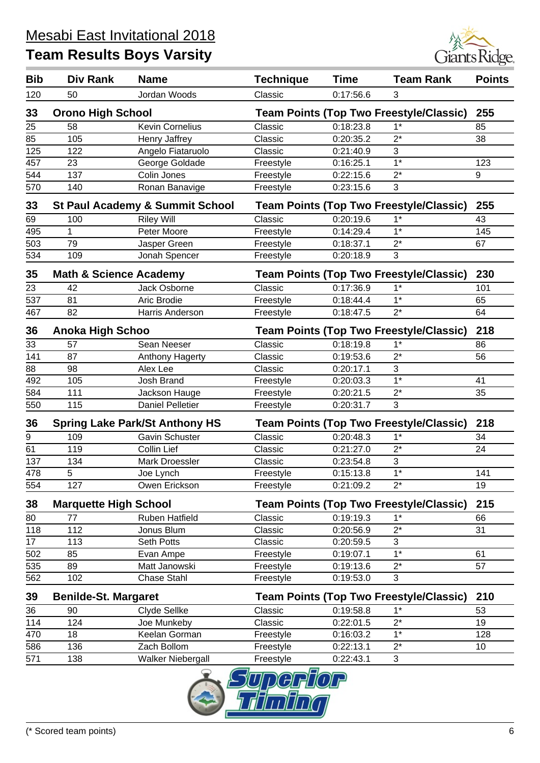

| <b>Bib</b> | Div Rank                          | <b>Name</b>                                | <b>Technique</b> | <b>Time</b> | <b>Team Rank</b>                               | <b>Points</b> |
|------------|-----------------------------------|--------------------------------------------|------------------|-------------|------------------------------------------------|---------------|
| 120        | 50                                | Jordan Woods                               | Classic          | 0:17:56.6   | 3                                              |               |
| 33         | <b>Orono High School</b>          |                                            |                  |             | <b>Team Points (Top Two Freestyle/Classic)</b> | 255           |
| 25         | 58                                | <b>Kevin Cornelius</b>                     | Classic          | 0:18:23.8   | $1*$                                           | 85            |
| 85         | 105                               | Henry Jaffrey                              | Classic          | 0:20:35.2   | $2^*$                                          | 38            |
| 125        | 122                               | Angelo Fiataruolo                          | Classic          | 0:21:40.9   | 3                                              |               |
| 457        | 23                                | George Goldade                             | Freestyle        | 0:16:25.1   | $\overline{1^*}$                               | 123           |
| 544        | 137                               | Colin Jones                                | Freestyle        | 0:22:15.6   | $2^*$                                          | 9             |
| 570        | 140                               | Ronan Banavige                             | Freestyle        | 0:23:15.6   | 3                                              |               |
| 33         |                                   | <b>St Paul Academy &amp; Summit School</b> |                  |             | <b>Team Points (Top Two Freestyle/Classic)</b> | 255           |
| 69         | 100                               | <b>Riley Will</b>                          | Classic          | 0:20:19.6   | $1*$                                           | 43            |
| 495        | $\mathbf 1$                       | Peter Moore                                | Freestyle        | 0:14:29.4   | $1*$                                           | 145           |
| 503        | 79                                | Jasper Green                               | Freestyle        | 0:18:37.1   | $2^*$                                          | 67            |
| 534        | 109                               | Jonah Spencer                              | Freestyle        | 0:20:18.9   | 3                                              |               |
| 35         | <b>Math &amp; Science Academy</b> |                                            |                  |             | <b>Team Points (Top Two Freestyle/Classic)</b> | 230           |
| 23         | 42                                | Jack Osborne                               | Classic          | 0:17:36.9   | $1*$                                           | 101           |
| 537        | 81                                | Aric Brodie                                | Freestyle        | 0:18:44.4   | $1*$                                           | 65            |
| 467        | 82                                | Harris Anderson                            | Freestyle        | 0:18:47.5   | $2^*$                                          | 64            |
| 36         | <b>Anoka High Schoo</b>           |                                            |                  |             | <b>Team Points (Top Two Freestyle/Classic)</b> | 218           |
| 33         | 57                                | Sean Neeser                                | Classic          | 0:18:19.8   | $1*$                                           | 86            |
| 141        | 87                                | Anthony Hagerty                            | Classic          | 0:19:53.6   | $2^*$                                          | 56            |
| 88         | 98                                | Alex Lee                                   | Classic          | 0:20:17.1   | 3                                              |               |
| 492        | 105                               | Josh Brand                                 | Freestyle        | 0:20:03.3   | $1*$                                           | 41            |
| 584        | 111                               | Jackson Hauge                              | Freestyle        | 0:20:21.5   | $2^*$                                          | 35            |
| 550        | 115                               | <b>Daniel Pelletier</b>                    | Freestyle        | 0:20:31.7   | 3                                              |               |
| 36         |                                   | <b>Spring Lake Park/St Anthony HS</b>      |                  |             | <b>Team Points (Top Two Freestyle/Classic)</b> | 218           |
| 9          | 109                               | Gavin Schuster                             | Classic          | 0:20:48.3   | $1^*$                                          | 34            |
| 61         | 119                               | <b>Collin Lief</b>                         | Classic          | 0:21:27.0   | $2^*$                                          | 24            |
| 137        | 134                               | <b>Mark Droessler</b>                      | Classic          | 0:23:54.8   | 3                                              |               |
| 478        | $\sqrt{5}$                        | Joe Lynch                                  | Freestyle        | 0:15:13.8   | $1^*$                                          | 141           |
| 554        | 127                               | Owen Erickson                              | Freestyle        | 0:21:09.2   | $2^*$                                          | 19            |
| 38         | <b>Marquette High School</b>      |                                            |                  |             | <b>Team Points (Top Two Freestyle/Classic)</b> | 215           |
| 80         | 77                                | Ruben Hatfield                             | Classic          | 0:19:19.3   | $1*$                                           | 66            |
| 118        | 112                               | Jonus Blum                                 | Classic          | 0:20:56.9   | $2^*$                                          | 31            |
| 17         | 113                               | Seth Potts                                 | Classic          | 0:20:59.5   | 3                                              |               |
| 502        | 85                                | Evan Ampe                                  | Freestyle        | 0:19:07.1   | $1*$                                           | 61            |
| 535        | 89                                | Matt Janowski                              | Freestyle        | 0:19:13.6   | $2^*$                                          | 57            |
| 562        | 102                               | <b>Chase Stahl</b>                         | Freestyle        | 0:19:53.0   | 3                                              |               |
| 39         | <b>Benilde-St. Margaret</b>       |                                            |                  |             | <b>Team Points (Top Two Freestyle/Classic)</b> | 210           |
| 36         | 90                                | Clyde Sellke                               | Classic          | 0:19:58.8   | $1*$                                           | 53            |
| 114        | 124                               | Joe Munkeby                                | Classic          | 0:22:01.5   | $2^*$                                          | 19            |
| 470        | 18                                | Keelan Gorman                              | Freestyle        | 0:16:03.2   | $1*$                                           | 128           |
| 586        | 136                               | Zach Bollom                                | Freestyle        | 0:22:13.1   | $2^*$                                          | 10            |
| 571        | 138                               | Walker Niebergall                          | Freestyle        | 0:22:43.1   | 3                                              |               |
|            |                                   |                                            | $\Box$           |             |                                                |               |

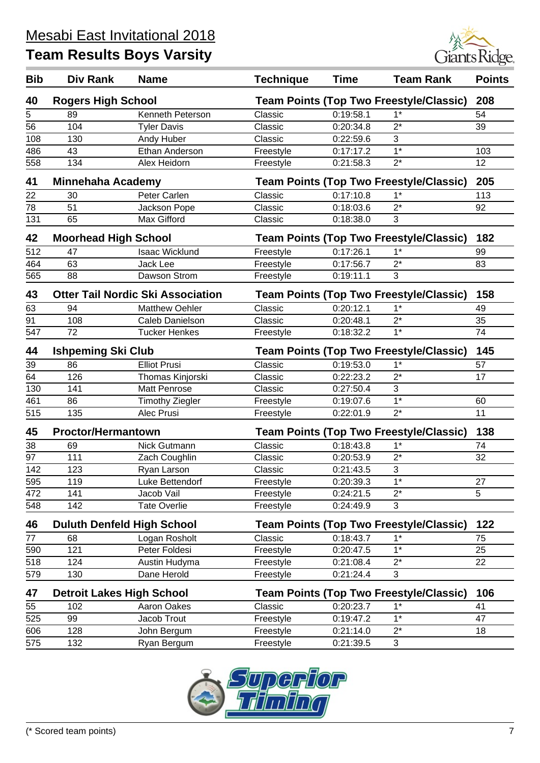

| <b>Bib</b> | Div Rank                          | <b>Name</b>                              | <b>Technique</b>                               | <b>Time</b> | <b>Team Rank</b>                               | <b>Points</b> |
|------------|-----------------------------------|------------------------------------------|------------------------------------------------|-------------|------------------------------------------------|---------------|
| 40         | <b>Rogers High School</b>         |                                          |                                                |             | <b>Team Points (Top Two Freestyle/Classic)</b> | 208           |
| 5          | 89                                | Kenneth Peterson                         | Classic                                        | 0:19:58.1   | $1^*$                                          | 54            |
| 56         | 104                               | <b>Tyler Davis</b>                       | Classic                                        | 0:20:34.8   | $2^*$                                          | 39            |
| 108        | 130                               | Andy Huber                               | Classic                                        | 0:22:59.6   | 3                                              |               |
| 486        | 43                                | Ethan Anderson                           | Freestyle                                      | 0:17:17.2   | $1*$                                           | 103           |
| 558        | 134                               | Alex Heidorn                             | Freestyle                                      | 0:21:58.3   | $2^*$                                          | 12            |
| 41         | <b>Minnehaha Academy</b>          |                                          |                                                |             | <b>Team Points (Top Two Freestyle/Classic)</b> | 205           |
| 22         | 30                                | Peter Carlen                             | Classic                                        | 0:17:10.8   | $1*$                                           | 113           |
| 78         | 51                                | Jackson Pope                             | Classic                                        | 0:18:03.6   | $2^*$                                          | 92            |
| 131        | 65                                | Max Gifford                              | Classic                                        | 0:18:38.0   | 3                                              |               |
| 42         | <b>Moorhead High School</b>       |                                          |                                                |             | <b>Team Points (Top Two Freestyle/Classic)</b> | 182           |
| 512        | 47                                | <b>Isaac Wicklund</b>                    | Freestyle                                      | 0:17:26.1   | $1^*$                                          | 99            |
| 464        | 63                                | Jack Lee                                 | Freestyle                                      | 0:17:56.7   | $2^*$                                          | 83            |
| 565        | 88                                | Dawson Strom                             | Freestyle                                      | 0:19:11.1   | 3                                              |               |
| 43         |                                   | <b>Otter Tail Nordic Ski Association</b> |                                                |             | <b>Team Points (Top Two Freestyle/Classic)</b> | 158           |
| 63         | 94                                | <b>Matthew Oehler</b>                    | Classic                                        | 0:20:12.1   | $1^*$                                          | 49            |
| 91         | 108                               | Caleb Danielson                          | Classic                                        | 0:20:48.1   | $2^*$                                          | 35            |
| 547        | 72                                | <b>Tucker Henkes</b>                     | Freestyle                                      | 0:18:32.2   | $1*$                                           | 74            |
| 44         | <b>Ishpeming Ski Club</b>         |                                          | <b>Team Points (Top Two Freestyle/Classic)</b> |             |                                                | 145           |
| 39         | 86                                | <b>Elliot Prusi</b>                      | Classic                                        | 0:19:53.0   | $1^*$                                          | 57            |
| 64         | 126                               | Thomas Kinjorski                         | Classic                                        | 0:22:23.2   | $2^*$                                          | 17            |
| 130        | 141                               | <b>Matt Penrose</b>                      | Classic                                        | 0:27:50.4   | 3                                              |               |
| 461        | 86                                | <b>Timothy Ziegler</b>                   | Freestyle                                      | 0:19:07.6   | $1*$                                           | 60            |
| 515        | 135                               | Alec Prusi                               | Freestyle                                      | 0:22:01.9   | $2^*$                                          | 11            |
| 45         | <b>Proctor/Hermantown</b>         |                                          |                                                |             | <b>Team Points (Top Two Freestyle/Classic)</b> | 138           |
| 38         | 69                                | Nick Gutmann                             | Classic                                        | 0:18:43.8   | $1^*$                                          | 74            |
| 97         | 111                               | Zach Coughlin                            | Classic                                        | 0:20:53.9   | $2^*$                                          | 32            |
| 142        | 123                               | Ryan Larson                              | Classic                                        | 0:21:43.5   | 3                                              |               |
| 595        | 119                               | Luke Bettendorf                          | Freestyle                                      | 0:20:39.3   | $1*$                                           | 27            |
| 472        | 141                               | Jacob Vail                               | Freestyle                                      | 0:24:21.5   | $2^*$                                          | 5             |
| 548        | 142                               | <b>Tate Overlie</b>                      | Freestyle                                      | 0:24:49.9   | 3                                              |               |
| 46         | <b>Duluth Denfeld High School</b> |                                          |                                                |             | <b>Team Points (Top Two Freestyle/Classic)</b> | 122           |
| 77         | 68                                | Logan Rosholt                            | Classic                                        | 0:18:43.7   | $1*$                                           | 75            |
| 590        | 121                               | Peter Foldesi                            | Freestyle                                      | 0:20:47.5   | $1^*$                                          | 25            |
| 518        | 124                               | Austin Hudyma                            | Freestyle                                      | 0:21:08.4   | $2^*$                                          | 22            |
| 579        | 130                               | Dane Herold                              | Freestyle                                      | 0:21:24.4   | 3                                              |               |
| 47         | <b>Detroit Lakes High School</b>  |                                          |                                                |             | <b>Team Points (Top Two Freestyle/Classic)</b> | 106           |
| 55         | 102                               | Aaron Oakes                              | Classic                                        | 0:20:23.7   | $1^*$                                          | 41            |
| 525        | 99                                | Jacob Trout                              | Freestyle                                      | 0:19:47.2   | $1*$                                           | 47            |
| 606        | 128                               | John Bergum                              | Freestyle                                      | 0:21:14.0   | $2^*$                                          | 18            |
| 575        | 132                               | Ryan Bergum                              | Freestyle                                      | 0:21:39.5   | 3                                              |               |